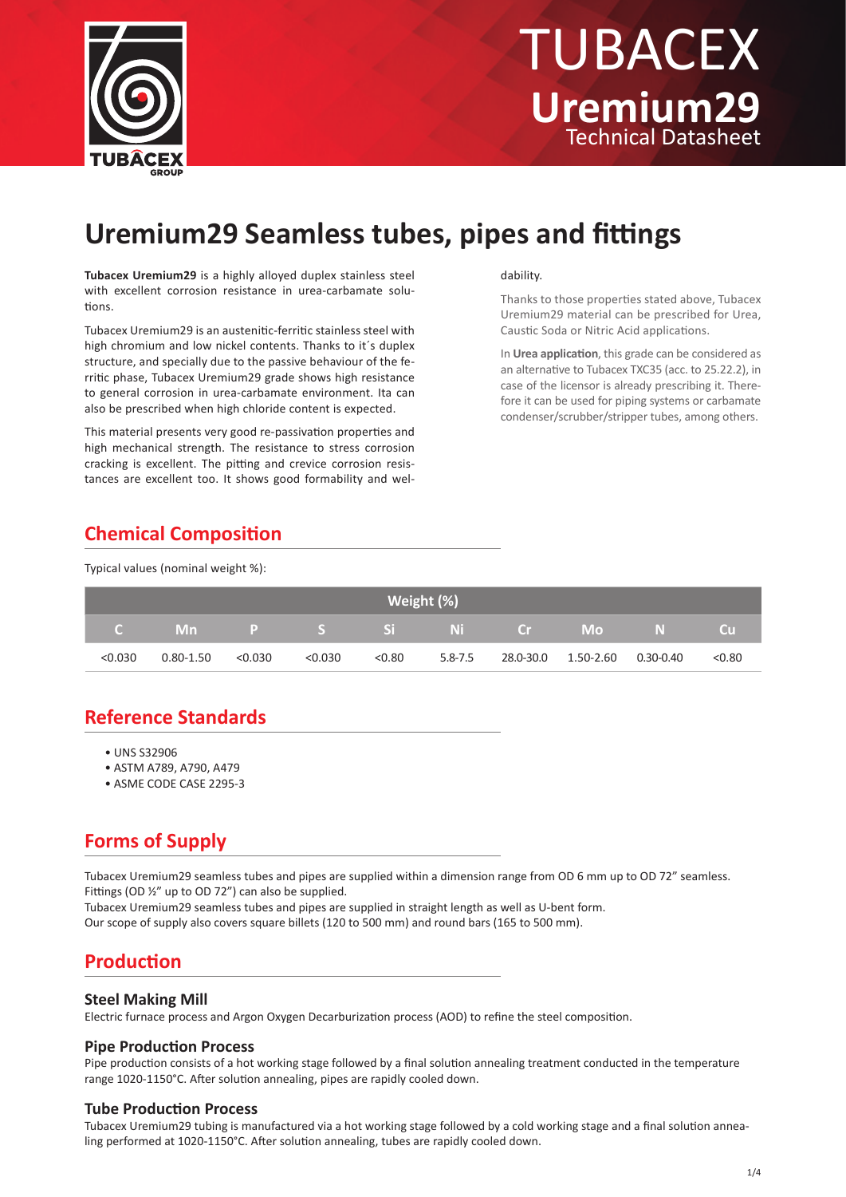

# Technical Datasheet TUBACEX **Uremium29**

## **Uremium29 Seamless tubes, pipes and fittings**

**Tubacex Uremium29** is a highly alloyed duplex stainless steel with excellent corrosion resistance in urea-carbamate solutions.

Tubacex Uremium29 is an austenitic-ferritic stainless steel with high chromium and low nickel contents. Thanks to it's duplex structure, and specially due to the passive behaviour of the ferritic phase, Tubacex Uremium29 grade shows high resistance to general corrosion in urea-carbamate environment. Ita can also be prescribed when high chloride content is expected.

This material presents very good re-passivation properties and high mechanical strength. The resistance to stress corrosion cracking is excellent. The pitting and crevice corrosion resistances are excellent too. It shows good formability and wel-

#### dability.

Thanks to those properties stated above, Tubacex Uremium29 material can be prescribed for Urea, Caustic Soda or Nitric Acid applications.

In **Urea application**, this grade can be considered as an alternative to Tubacex TXC35 (acc. to 25.22.2), in case of the licensor is already prescribing it. Therefore it can be used for piping systems or carbamate condenser/scrubber/stripper tubes, among others.

### **Chemical Composition**

Typical values (nominal weight %):

| Weight (%) |                        |         |         |        |         |  |                                 |           |
|------------|------------------------|---------|---------|--------|---------|--|---------------------------------|-----------|
|            | C Mn P S Si Ni Cr Mo N |         |         |        |         |  |                                 | <b>CU</b> |
| < 0.030    | 0.80-1.50              | < 0.030 | < 0.030 | < 0.80 | 5.8-7.5 |  | 28.0-30.0  1.50-2.60  0.30-0.40 | < 0.80    |

### **Reference Standards**

- UNS S32906
- ASTM A789, A790, A479
- ASME CODE CASE 2295-3

### **Forms of Supply**

Tubacex Uremium29 seamless tubes and pipes are supplied within a dimension range from OD 6 mm up to OD 72" seamless. Fittings (OD ½" up to OD 72") can also be supplied.

Tubacex Uremium29 seamless tubes and pipes are supplied in straight length as well as U-bent form.

Our scope of supply also covers square billets (120 to 500 mm) and round bars (165 to 500 mm).

### **Production**

#### **Steel Making Mill**

Electric furnace process and Argon Oxygen Decarburization process (AOD) to refine the steel composition.

#### **Pipe Production Process**

Pipe production consists of a hot working stage followed by a final solution annealing treatment conducted in the temperature range 1020-1150°C. After solution annealing, pipes are rapidly cooled down.

#### **Tube Production Process**

Tubacex Uremium29 tubing is manufactured via a hot working stage followed by a cold working stage and a final solution annealing performed at 1020-1150°C. After solution annealing, tubes are rapidly cooled down.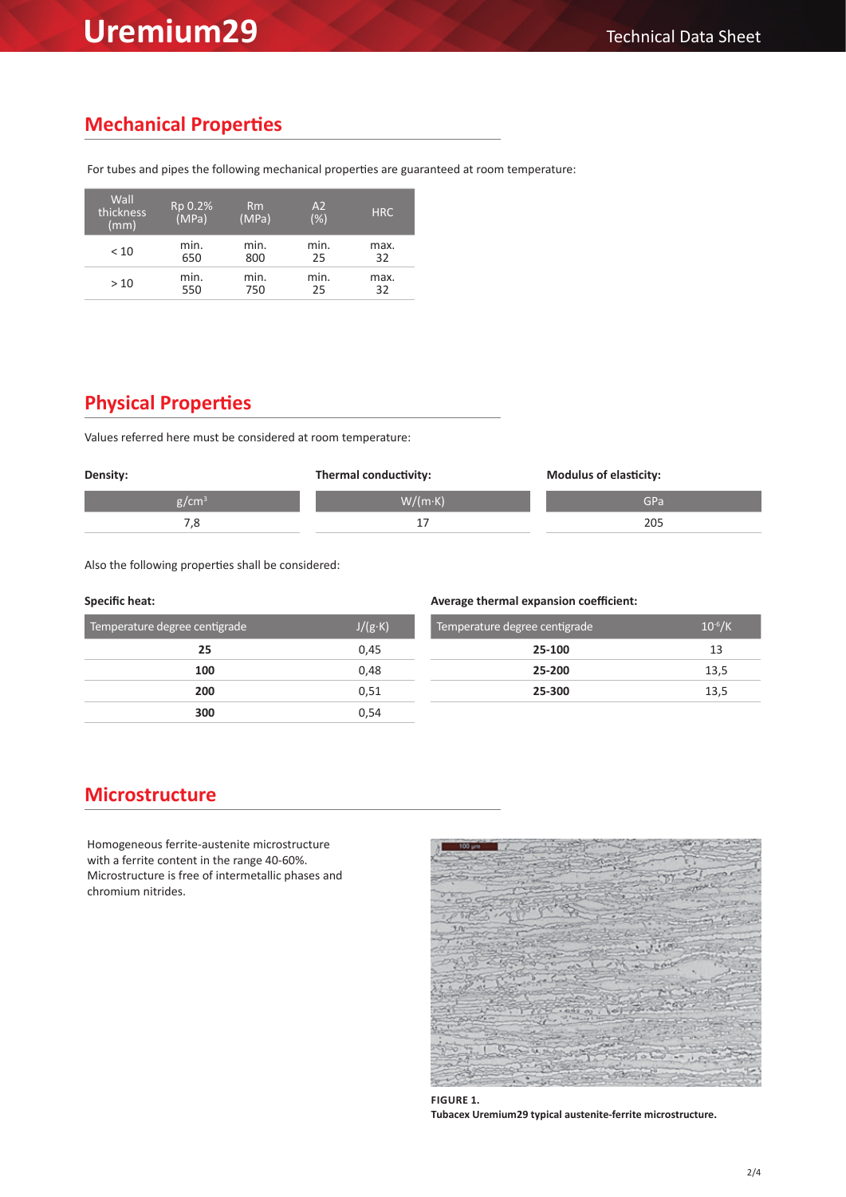## **Uremium29** Technical Data Sheet

### **Mechanical Properties**

For tubes and pipes the following mechanical properties are guaranteed at room temperature:

| Wall<br>thickness<br>(mm) | Rp 0.2%<br>(MPa) | Rm<br>(MPa) | A2<br>$(\%)$ | <b>HRC</b> |
|---------------------------|------------------|-------------|--------------|------------|
| < 10                      | min.             | min.        | min.         | max.       |
|                           | 650              | 800         | 25           | 32         |
| >10                       | min.             | min.        | min.         | max.       |
|                           | 550              | 750         | 25           | 32         |

### **Physical Properties**

Values referred here must be considered at room temperature:

| Density: | Thermal conductivity: | <b>Modulus of elasticity:</b> |  |
|----------|-----------------------|-------------------------------|--|
| $g/cm^3$ | $W/(m \cdot K)$       | GPa                           |  |
|          |                       | 205                           |  |

Also the following properties shall be considered:

#### **Specific heat: Average thermal expansion coefficient:**

| Temperature degree centigrade | $J/(g \cdot K)$ | Temperature degree centigrade | $10^{-6}$ /K |
|-------------------------------|-----------------|-------------------------------|--------------|
| 25                            | 0,45            | 25-100                        | 13           |
| 100                           | 0.48            | 25-200                        | 13,5         |
| 200                           | 0,51            | 25-300                        | 13,5         |
| 300                           | 0,54            |                               |              |

### **Microstructure**

Homogeneous ferrite-austenite microstructure with a ferrite content in the range 40-60%. Microstructure is free of intermetallic phases and chromium nitrides.



**FIGURE 1. Tubacex Uremium29 typical austenite-ferrite microstructure.**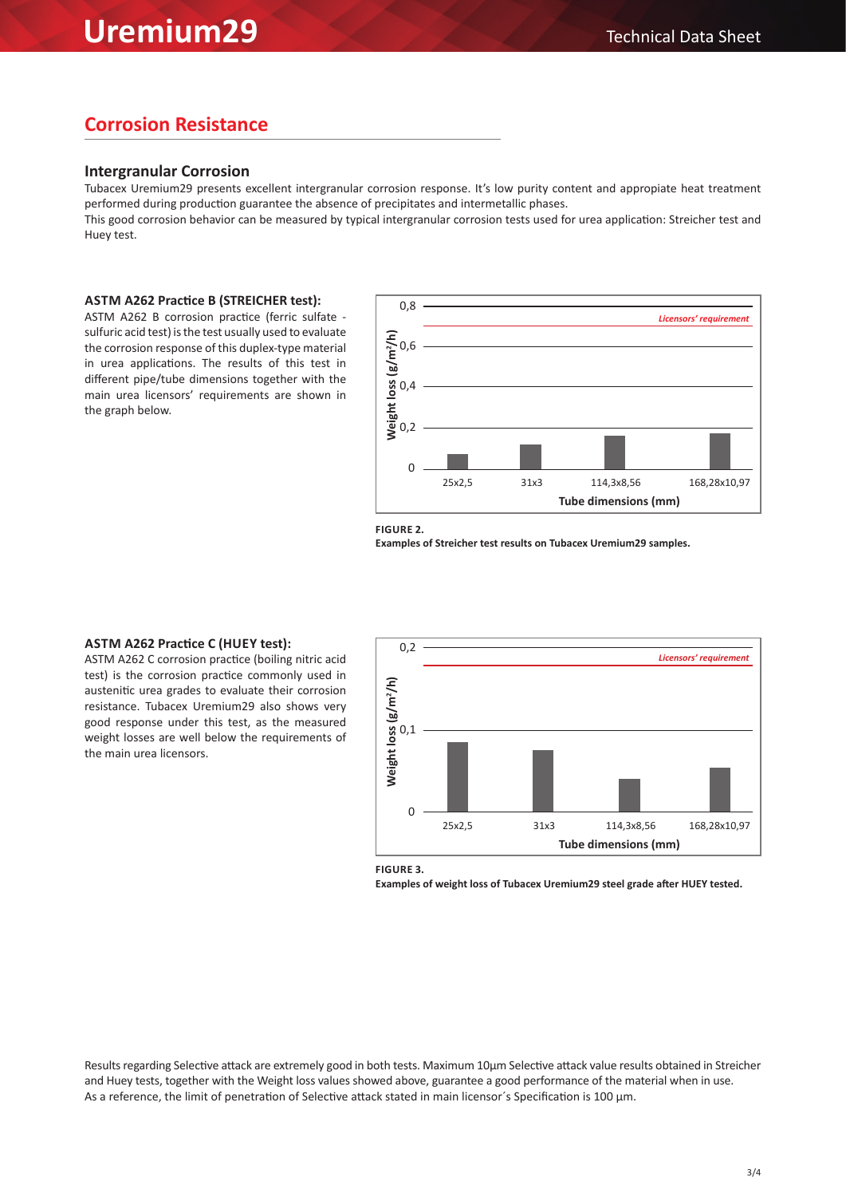### **Corrosion Resistance**

### **Intergranular Corrosion**

Tubacex Uremium29 presents excellent intergranular corrosion response. It's low purity content and appropiate heat treatment performed during production guarantee the absence of precipitates and intermetallic phases.

This good corrosion behavior can be measured by typical intergranular corrosion tests used for urea application: Streicher test and Huey test.

#### **ASTM A262 Practice B (STREICHER test):**

ASTM A262 B corrosion practice (ferric sulfate sulfuric acid test) is the test usually used to evaluate the corrosion response of this duplex-type material in urea applications. The results of this test in different pipe/tube dimensions together with the main urea licensors' requirements are shown in the graph below.



**FIGURE 2.** 

**Examples of Streicher test results on Tubacex Uremium29 samples.**

### **ASTM A262 Practice C (HUEY test):**

ASTM A262 C corrosion practice (boiling nitric acid test) is the corrosion practice commonly used in austenitic urea grades to evaluate their corrosion resistance. Tubacex Uremium29 also shows very good response under this test, as the measured weight losses are well below the requirements of the main urea licensors.



**FIGURE 3.** 

**Examples of weight loss of Tubacex Uremium29 steel grade after HUEY tested.**

Results regarding Selective attack are extremely good in both tests. Maximum 10µm Selective attack value results obtained in Streicher and Huey tests, together with the Weight loss values showed above, guarantee a good performance of the material when in use. As a reference, the limit of penetration of Selective attack stated in main licensor's Specification is 100 µm.